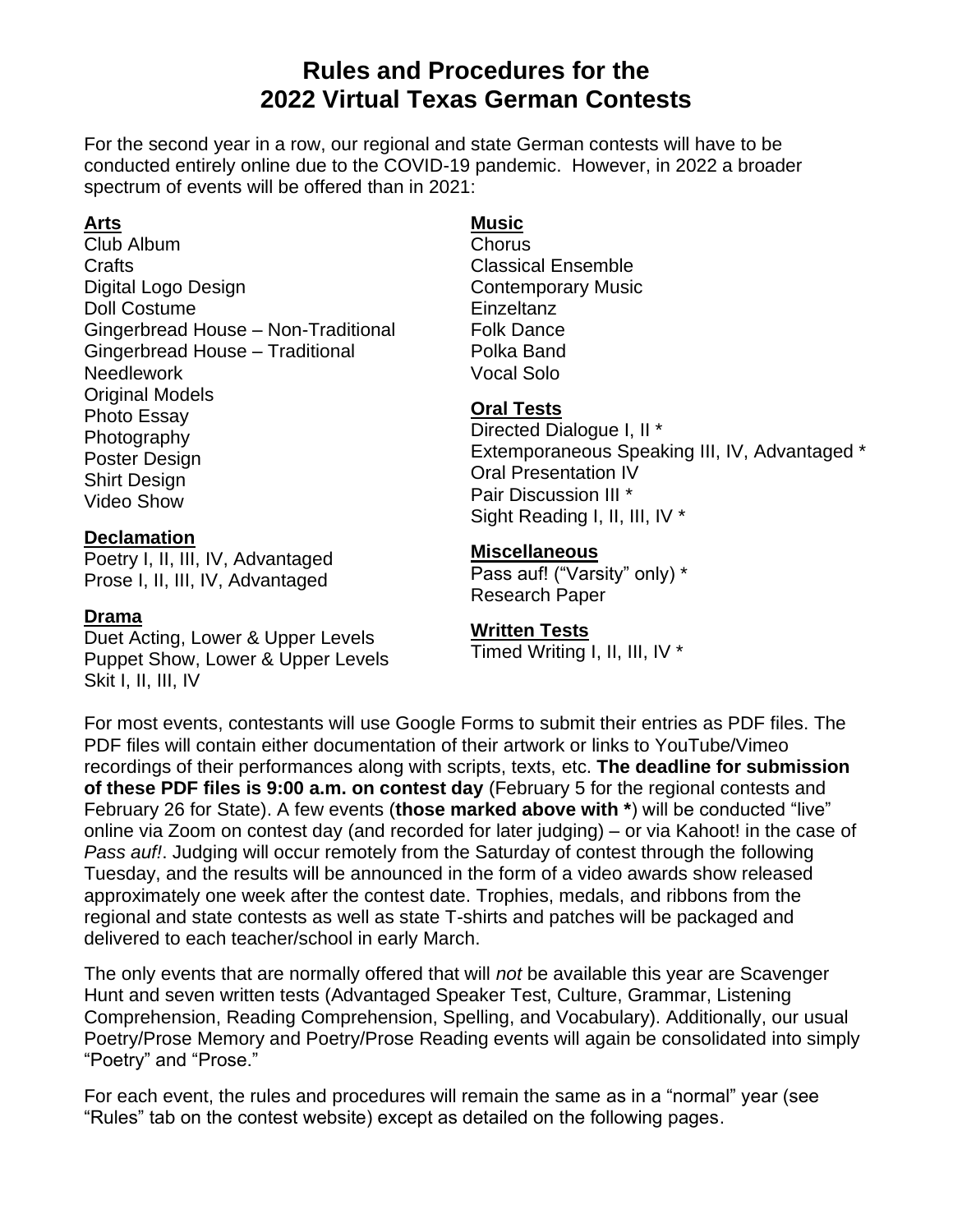### **Rules and Procedures for the 2022 Virtual Texas German Contests**

For the second year in a row, our regional and state German contests will have to be conducted entirely online due to the COVID-19 pandemic. However, in 2022 a broader spectrum of events will be offered than in 2021:

### **Arts**

Club Album **Crafts** Digital Logo Design Doll Costume Gingerbread House – Non-Traditional Gingerbread House – Traditional **Needlework** Original Models Photo Essay **Photography** Poster Design Shirt Design Video Show

#### **Declamation**

Poetry I, II, III, IV, Advantaged Prose I, II, III, IV, Advantaged

#### **Drama**

Duet Acting, Lower & Upper Levels Puppet Show, Lower & Upper Levels Skit I, II, III, IV

### **Music**

Chorus Classical Ensemble Contemporary Music **Einzeltanz** Folk Dance Polka Band Vocal Solo

### **Oral Tests**

Directed Dialogue I, II \* Extemporaneous Speaking III, IV, Advantaged \* Oral Presentation IV Pair Discussion III \* Sight Reading I, II, III, IV \*

#### **Miscellaneous**

Pass auf! ("Varsity" only) \* Research Paper

### **Written Tests**

Timed Writing I, II, III, IV \*

For most events, contestants will use Google Forms to submit their entries as PDF files. The PDF files will contain either documentation of their artwork or links to YouTube/Vimeo recordings of their performances along with scripts, texts, etc. **The deadline for submission of these PDF files is 9:00 a.m. on contest day** (February 5 for the regional contests and February 26 for State). A few events (**those marked above with \***) will be conducted "live" online via Zoom on contest day (and recorded for later judging) – or via Kahoot! in the case of *Pass auf!*. Judging will occur remotely from the Saturday of contest through the following Tuesday, and the results will be announced in the form of a video awards show released approximately one week after the contest date. Trophies, medals, and ribbons from the regional and state contests as well as state T-shirts and patches will be packaged and delivered to each teacher/school in early March.

The only events that are normally offered that will *not* be available this year are Scavenger Hunt and seven written tests (Advantaged Speaker Test, Culture, Grammar, Listening Comprehension, Reading Comprehension, Spelling, and Vocabulary). Additionally, our usual Poetry/Prose Memory and Poetry/Prose Reading events will again be consolidated into simply "Poetry" and "Prose."

For each event, the rules and procedures will remain the same as in a "normal" year (see "Rules" tab on the contest website) except as detailed on the following pages.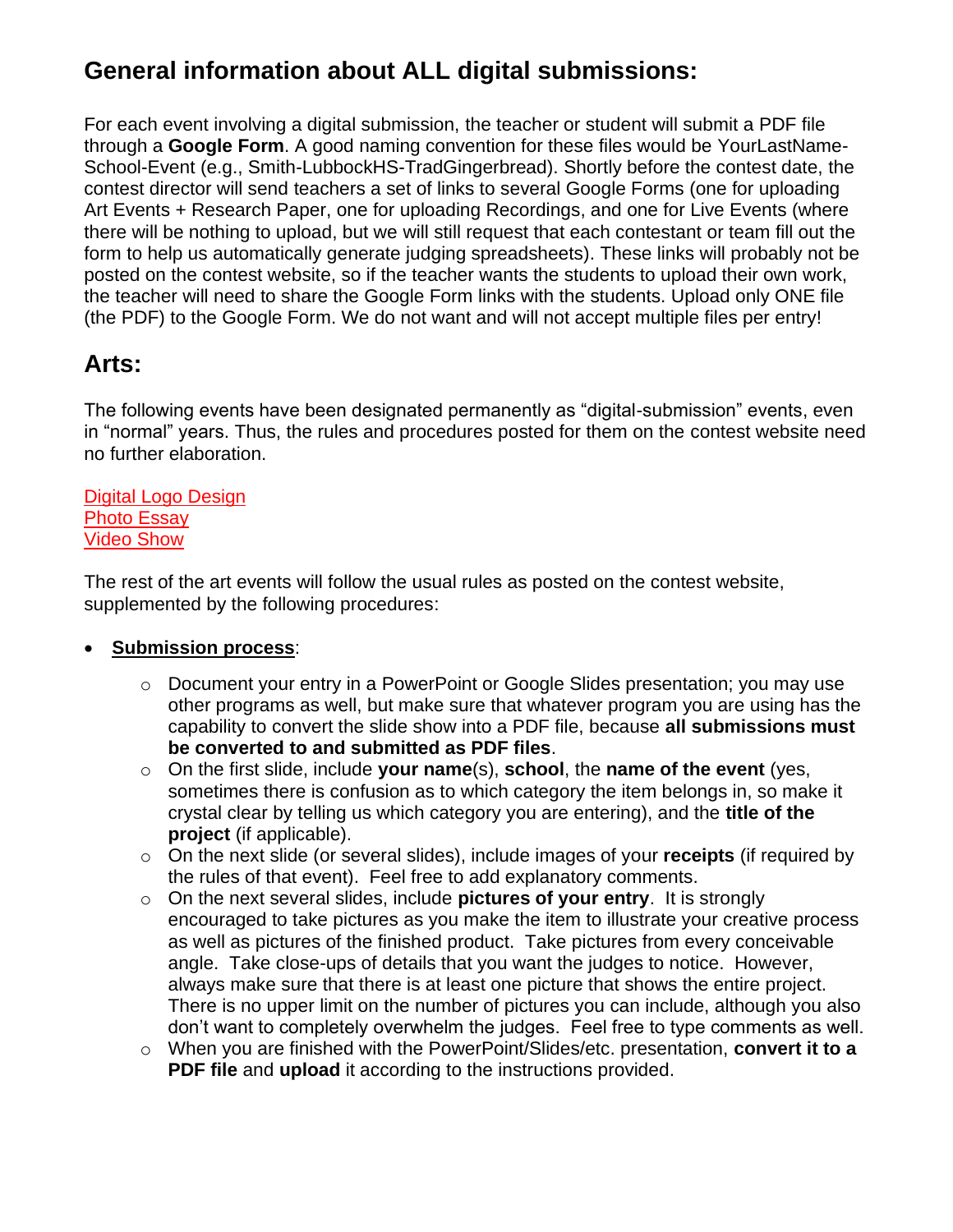## **General information about ALL digital submissions:**

For each event involving a digital submission, the teacher or student will submit a PDF file through a **Google Form**. A good naming convention for these files would be YourLastName-School-Event (e.g., Smith-LubbockHS-TradGingerbread). Shortly before the contest date, the contest director will send teachers a set of links to several Google Forms (one for uploading Art Events + Research Paper, one for uploading Recordings, and one for Live Events (where there will be nothing to upload, but we will still request that each contestant or team fill out the form to help us automatically generate judging spreadsheets). These links will probably not be posted on the contest website, so if the teacher wants the students to upload their own work, the teacher will need to share the Google Form links with the students. Upload only ONE file (the PDF) to the Google Form. We do not want and will not accept multiple files per entry!

### **Arts:**

The following events have been designated permanently as "digital-submission" events, even in "normal" years. Thus, the rules and procedures posted for them on the contest website need no further elaboration.

Digital Logo Design Photo Essay Video Show

The rest of the art events will follow the usual rules as posted on the contest website, supplemented by the following procedures:

### • **Submission process**:

- o Document your entry in a PowerPoint or Google Slides presentation; you may use other programs as well, but make sure that whatever program you are using has the capability to convert the slide show into a PDF file, because **all submissions must be converted to and submitted as PDF files**.
- o On the first slide, include **your name**(s), **school**, the **name of the event** (yes, sometimes there is confusion as to which category the item belongs in, so make it crystal clear by telling us which category you are entering), and the **title of the project** (if applicable).
- o On the next slide (or several slides), include images of your **receipts** (if required by the rules of that event). Feel free to add explanatory comments.
- o On the next several slides, include **pictures of your entry**. It is strongly encouraged to take pictures as you make the item to illustrate your creative process as well as pictures of the finished product. Take pictures from every conceivable angle. Take close-ups of details that you want the judges to notice. However, always make sure that there is at least one picture that shows the entire project. There is no upper limit on the number of pictures you can include, although you also don't want to completely overwhelm the judges. Feel free to type comments as well.
- o When you are finished with the PowerPoint/Slides/etc. presentation, **convert it to a PDF file** and **upload** it according to the instructions provided.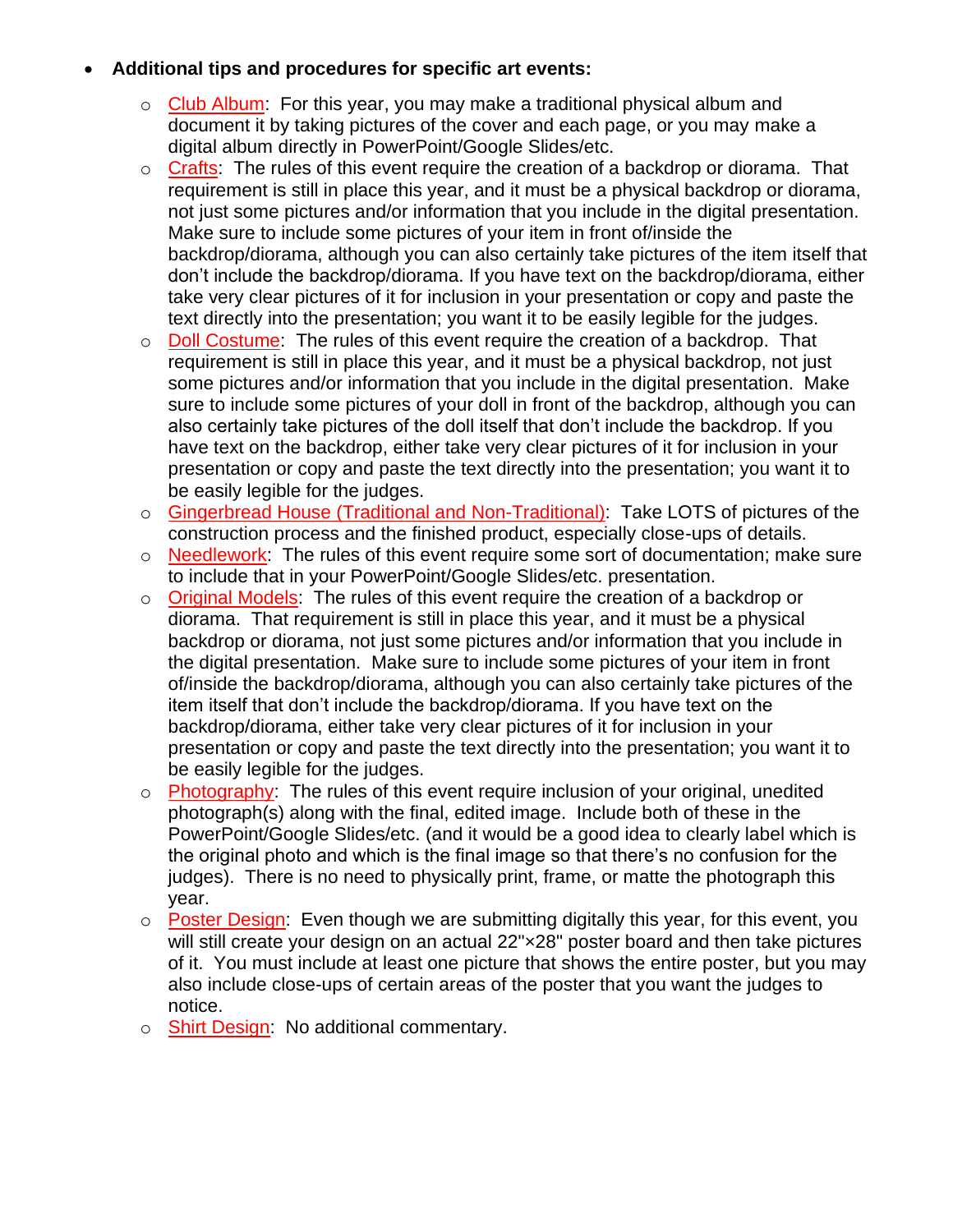- **Additional tips and procedures for specific art events:**
	- o Club Album: For this year, you may make a traditional physical album and document it by taking pictures of the cover and each page, or you may make a digital album directly in PowerPoint/Google Slides/etc.
	- o Crafts: The rules of this event require the creation of a backdrop or diorama. That requirement is still in place this year, and it must be a physical backdrop or diorama, not just some pictures and/or information that you include in the digital presentation. Make sure to include some pictures of your item in front of/inside the backdrop/diorama, although you can also certainly take pictures of the item itself that don't include the backdrop/diorama. If you have text on the backdrop/diorama, either take very clear pictures of it for inclusion in your presentation or copy and paste the text directly into the presentation; you want it to be easily legible for the judges.
	- o Doll Costume: The rules of this event require the creation of a backdrop. That requirement is still in place this year, and it must be a physical backdrop, not just some pictures and/or information that you include in the digital presentation. Make sure to include some pictures of your doll in front of the backdrop, although you can also certainly take pictures of the doll itself that don't include the backdrop. If you have text on the backdrop, either take very clear pictures of it for inclusion in your presentation or copy and paste the text directly into the presentation; you want it to be easily legible for the judges.
	- o Gingerbread House (Traditional and Non-Traditional): Take LOTS of pictures of the construction process and the finished product, especially close-ups of details.
	- $\circ$  Needlework: The rules of this event require some sort of documentation; make sure to include that in your PowerPoint/Google Slides/etc. presentation.
	- o Original Models: The rules of this event require the creation of a backdrop or diorama. That requirement is still in place this year, and it must be a physical backdrop or diorama, not just some pictures and/or information that you include in the digital presentation. Make sure to include some pictures of your item in front of/inside the backdrop/diorama, although you can also certainly take pictures of the item itself that don't include the backdrop/diorama. If you have text on the backdrop/diorama, either take very clear pictures of it for inclusion in your presentation or copy and paste the text directly into the presentation; you want it to be easily legible for the judges.
	- $\circ$  Photography: The rules of this event require inclusion of your original, unedited photograph(s) along with the final, edited image. Include both of these in the PowerPoint/Google Slides/etc. (and it would be a good idea to clearly label which is the original photo and which is the final image so that there's no confusion for the judges). There is no need to physically print, frame, or matte the photograph this year.
	- o Poster Design: Even though we are submitting digitally this year, for this event, you will still create your design on an actual 22"x28" poster board and then take pictures of it. You must include at least one picture that shows the entire poster, but you may also include close-ups of certain areas of the poster that you want the judges to notice.
	- o Shirt Design: No additional commentary.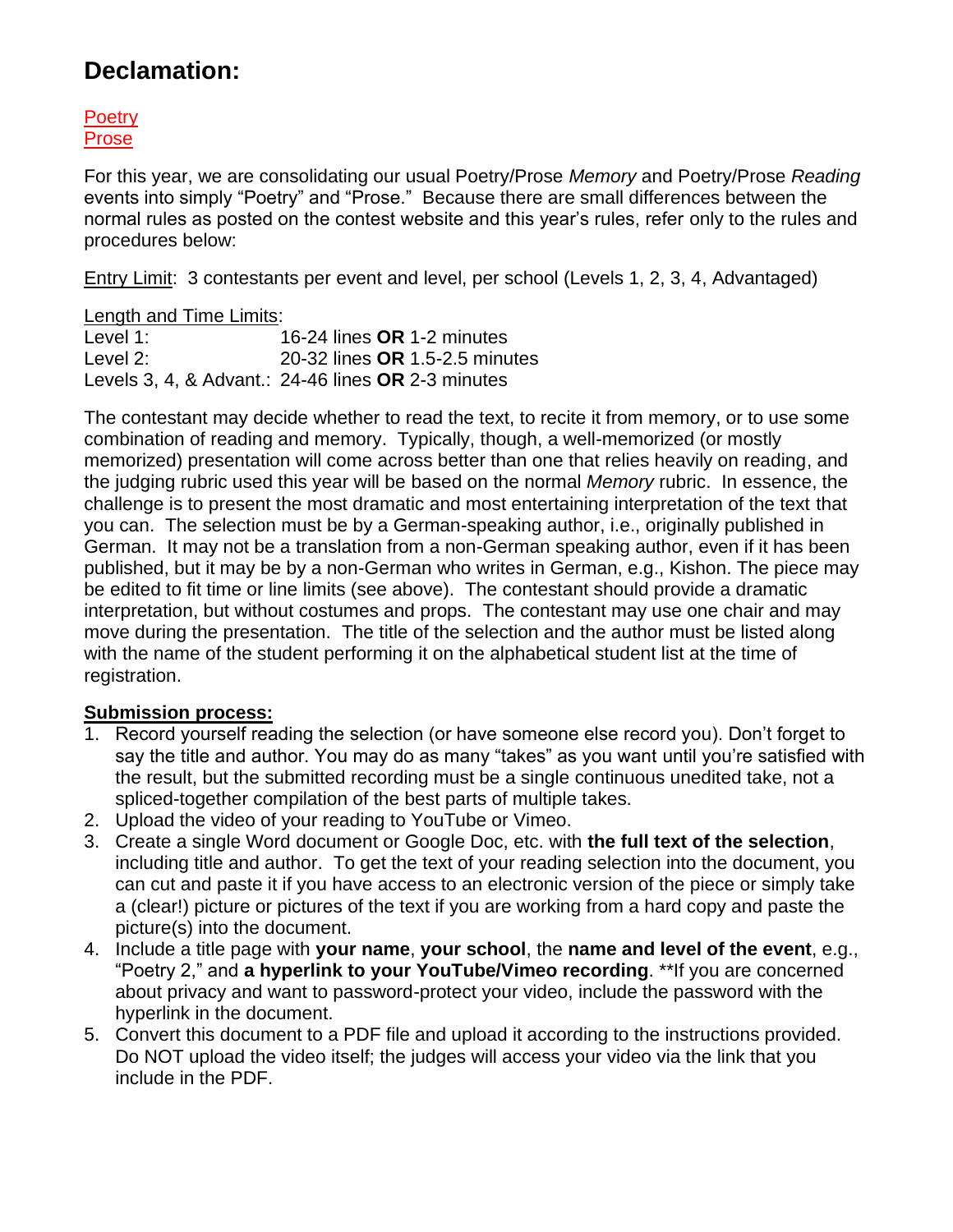### **Declamation:**

**Poetry** Prose

For this year, we are consolidating our usual Poetry/Prose *Memory* and Poetry/Prose *Reading* events into simply "Poetry" and "Prose." Because there are small differences between the normal rules as posted on the contest website and this year's rules, refer only to the rules and procedures below:

Entry Limit: 3 contestants per event and level, per school (Levels 1, 2, 3, 4, Advantaged)

Length and Time Limits:

Level 1: 16-24 lines **OR** 1-2 minutes Level 2: 20-32 lines **OR** 1.5-2.5 minutes Levels 3, 4, & Advant.: 24-46 lines **OR** 2-3 minutes

The contestant may decide whether to read the text, to recite it from memory, or to use some combination of reading and memory. Typically, though, a well-memorized (or mostly memorized) presentation will come across better than one that relies heavily on reading, and the judging rubric used this year will be based on the normal *Memory* rubric. In essence, the challenge is to present the most dramatic and most entertaining interpretation of the text that you can. The selection must be by a German-speaking author, i.e., originally published in German. It may not be a translation from a non-German speaking author, even if it has been published, but it may be by a non-German who writes in German, e.g., Kishon. The piece may be edited to fit time or line limits (see above). The contestant should provide a dramatic interpretation, but without costumes and props. The contestant may use one chair and may move during the presentation. The title of the selection and the author must be listed along with the name of the student performing it on the alphabetical student list at the time of registration.

### **Submission process:**

- 1. Record yourself reading the selection (or have someone else record you). Don't forget to say the title and author. You may do as many "takes" as you want until you're satisfied with the result, but the submitted recording must be a single continuous unedited take, not a spliced-together compilation of the best parts of multiple takes.
- 2. Upload the video of your reading to YouTube or Vimeo.
- 3. Create a single Word document or Google Doc, etc. with **the full text of the selection**, including title and author. To get the text of your reading selection into the document, you can cut and paste it if you have access to an electronic version of the piece or simply take a (clear!) picture or pictures of the text if you are working from a hard copy and paste the picture(s) into the document.
- 4. Include a title page with **your name**, **your school**, the **name and level of the event**, e.g., "Poetry 2," and **a hyperlink to your YouTube/Vimeo recording**. \*\*If you are concerned about privacy and want to password-protect your video, include the password with the hyperlink in the document.
- 5. Convert this document to a PDF file and upload it according to the instructions provided. Do NOT upload the video itself; the judges will access your video via the link that you include in the PDF.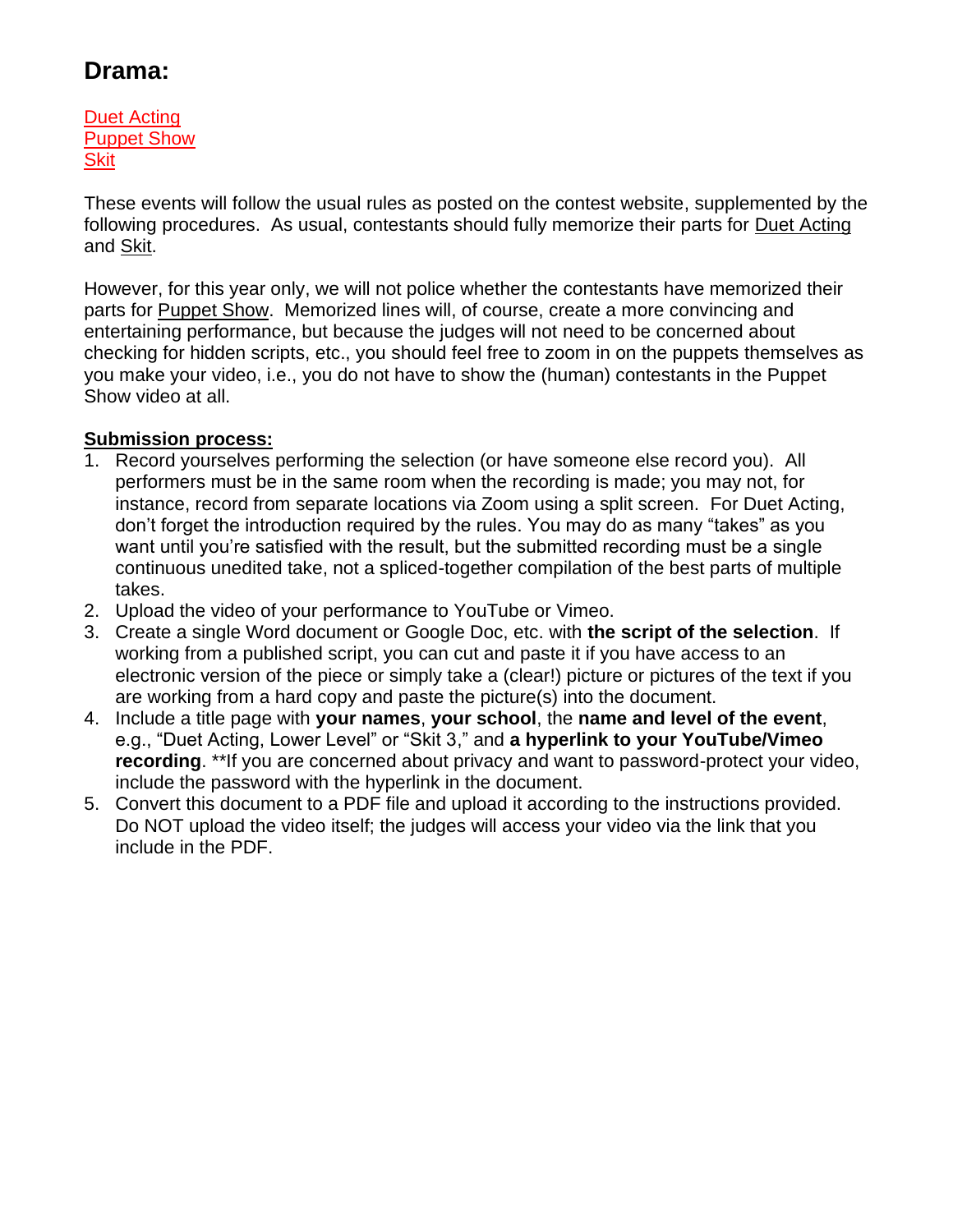# **Drama:**

Duet Acting Puppet Show **Skit** 

These events will follow the usual rules as posted on the contest website, supplemented by the following procedures. As usual, contestants should fully memorize their parts for Duet Acting and Skit.

However, for this year only, we will not police whether the contestants have memorized their parts for Puppet Show. Memorized lines will, of course, create a more convincing and entertaining performance, but because the judges will not need to be concerned about checking for hidden scripts, etc., you should feel free to zoom in on the puppets themselves as you make your video, i.e., you do not have to show the (human) contestants in the Puppet Show video at all.

### **Submission process:**

- 1. Record yourselves performing the selection (or have someone else record you). All performers must be in the same room when the recording is made; you may not, for instance, record from separate locations via Zoom using a split screen. For Duet Acting, don't forget the introduction required by the rules. You may do as many "takes" as you want until you're satisfied with the result, but the submitted recording must be a single continuous unedited take, not a spliced-together compilation of the best parts of multiple takes.
- 2. Upload the video of your performance to YouTube or Vimeo.
- 3. Create a single Word document or Google Doc, etc. with **the script of the selection**. If working from a published script, you can cut and paste it if you have access to an electronic version of the piece or simply take a (clear!) picture or pictures of the text if you are working from a hard copy and paste the picture(s) into the document.
- 4. Include a title page with **your names**, **your school**, the **name and level of the event**, e.g., "Duet Acting, Lower Level" or "Skit 3," and **a hyperlink to your YouTube/Vimeo recording**. \*\*If you are concerned about privacy and want to password-protect your video, include the password with the hyperlink in the document.
- 5. Convert this document to a PDF file and upload it according to the instructions provided. Do NOT upload the video itself; the judges will access your video via the link that you include in the PDF.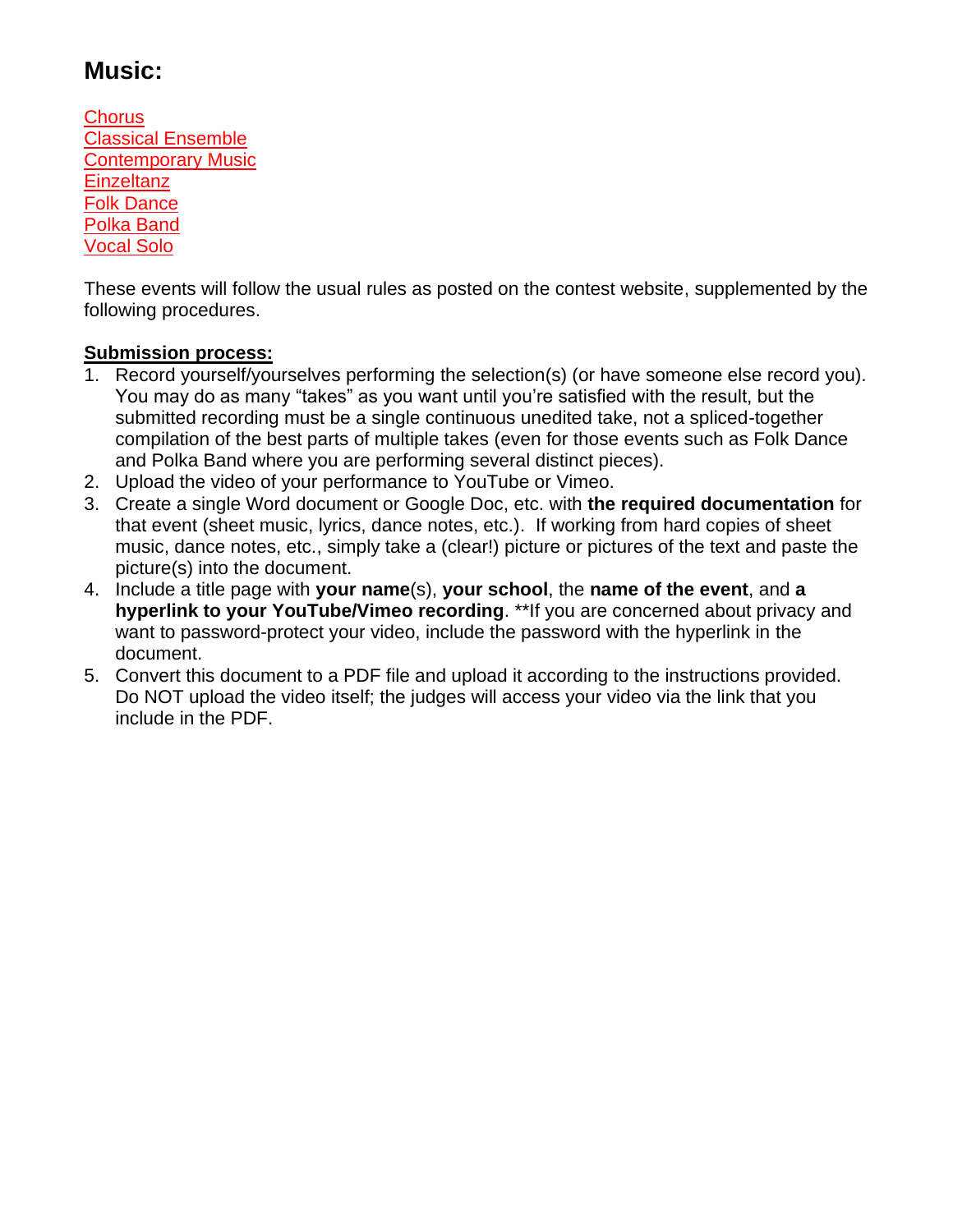## **Music:**

**Chorus** Classical Ensemble Contemporary Music **Einzeltanz** Folk Dance Polka Band Vocal Solo

These events will follow the usual rules as posted on the contest website, supplemented by the following procedures.

### **Submission process:**

- 1. Record yourself/yourselves performing the selection(s) (or have someone else record you). You may do as many "takes" as you want until you're satisfied with the result, but the submitted recording must be a single continuous unedited take, not a spliced-together compilation of the best parts of multiple takes (even for those events such as Folk Dance and Polka Band where you are performing several distinct pieces).
- 2. Upload the video of your performance to YouTube or Vimeo.
- 3. Create a single Word document or Google Doc, etc. with **the required documentation** for that event (sheet music, lyrics, dance notes, etc.). If working from hard copies of sheet music, dance notes, etc., simply take a (clear!) picture or pictures of the text and paste the picture(s) into the document.
- 4. Include a title page with **your name**(s), **your school**, the **name of the event**, and **a hyperlink to your YouTube/Vimeo recording**. \*\*If you are concerned about privacy and want to password-protect your video, include the password with the hyperlink in the document.
- 5. Convert this document to a PDF file and upload it according to the instructions provided. Do NOT upload the video itself; the judges will access your video via the link that you include in the PDF.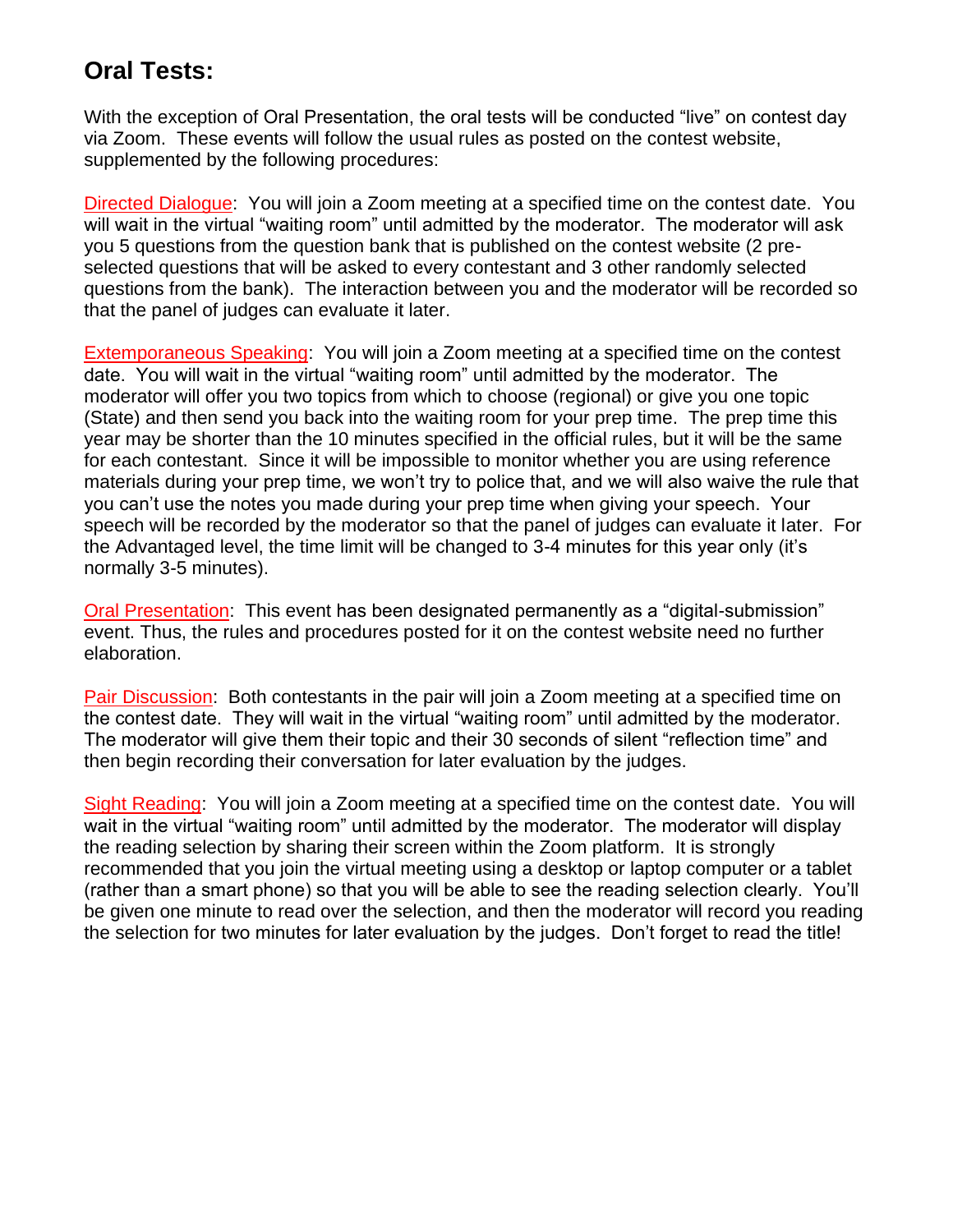## **Oral Tests:**

With the exception of Oral Presentation, the oral tests will be conducted "live" on contest day via Zoom. These events will follow the usual rules as posted on the contest website, supplemented by the following procedures:

Directed Dialogue: You will join a Zoom meeting at a specified time on the contest date. You will wait in the virtual "waiting room" until admitted by the moderator. The moderator will ask you 5 questions from the question bank that is published on the contest website (2 preselected questions that will be asked to every contestant and 3 other randomly selected questions from the bank). The interaction between you and the moderator will be recorded so that the panel of judges can evaluate it later.

Extemporaneous Speaking: You will join a Zoom meeting at a specified time on the contest date. You will wait in the virtual "waiting room" until admitted by the moderator. The moderator will offer you two topics from which to choose (regional) or give you one topic (State) and then send you back into the waiting room for your prep time. The prep time this year may be shorter than the 10 minutes specified in the official rules, but it will be the same for each contestant. Since it will be impossible to monitor whether you are using reference materials during your prep time, we won't try to police that, and we will also waive the rule that you can't use the notes you made during your prep time when giving your speech. Your speech will be recorded by the moderator so that the panel of judges can evaluate it later. For the Advantaged level, the time limit will be changed to 3-4 minutes for this year only (it's normally 3-5 minutes).

Oral Presentation: This event has been designated permanently as a "digital-submission" event. Thus, the rules and procedures posted for it on the contest website need no further elaboration.

Pair Discussion: Both contestants in the pair will join a Zoom meeting at a specified time on the contest date. They will wait in the virtual "waiting room" until admitted by the moderator. The moderator will give them their topic and their 30 seconds of silent "reflection time" and then begin recording their conversation for later evaluation by the judges.

Sight Reading: You will join a Zoom meeting at a specified time on the contest date. You will wait in the virtual "waiting room" until admitted by the moderator. The moderator will display the reading selection by sharing their screen within the Zoom platform. It is strongly recommended that you join the virtual meeting using a desktop or laptop computer or a tablet (rather than a smart phone) so that you will be able to see the reading selection clearly. You'll be given one minute to read over the selection, and then the moderator will record you reading the selection for two minutes for later evaluation by the judges. Don't forget to read the title!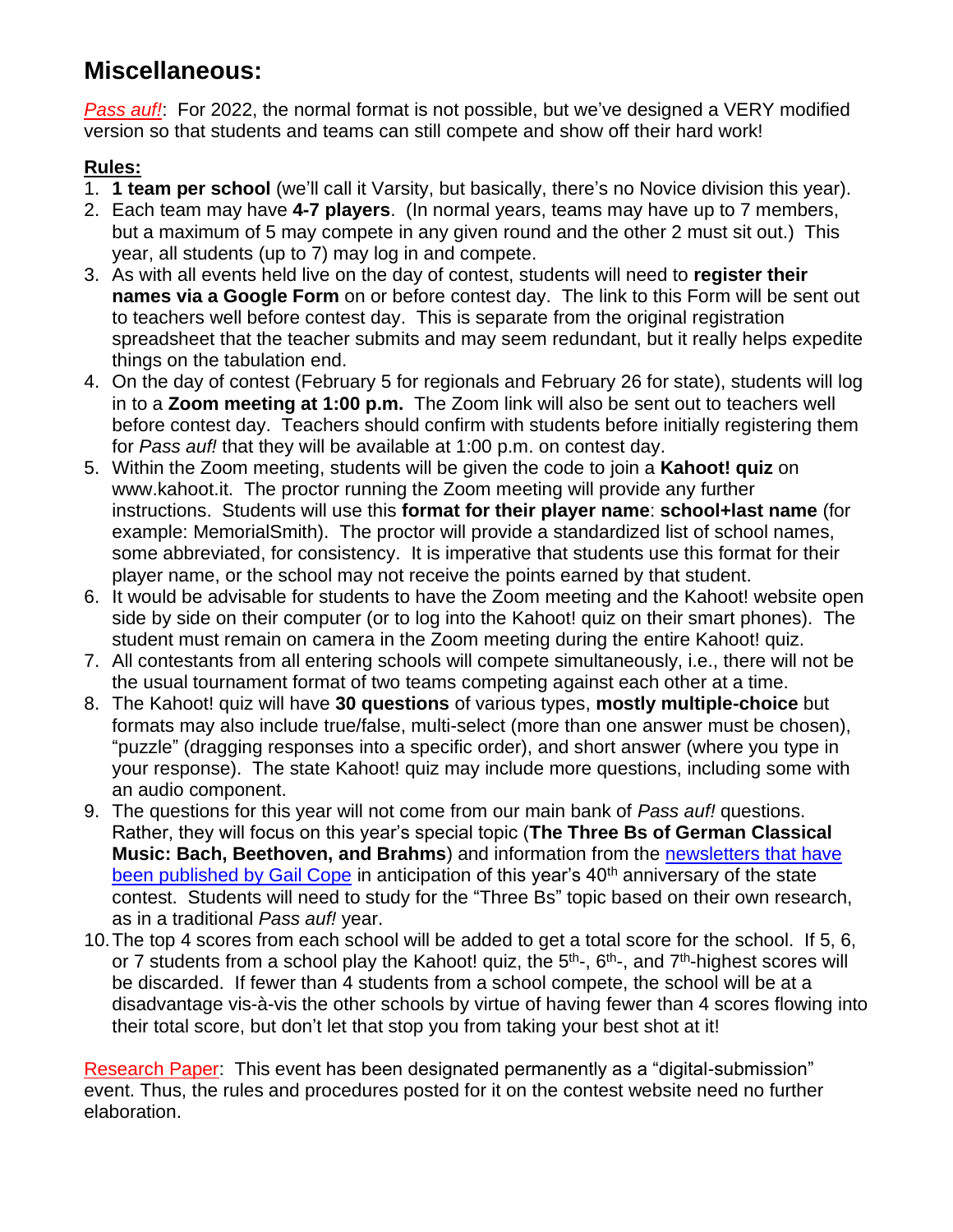# **Miscellaneous:**

*Pass auf!*: For 2022, the normal format is not possible, but we've designed a VERY modified version so that students and teams can still compete and show off their hard work!

### **Rules:**

- 1. **1 team per school** (we'll call it Varsity, but basically, there's no Novice division this year).
- 2. Each team may have **4-7 players**. (In normal years, teams may have up to 7 members, but a maximum of 5 may compete in any given round and the other 2 must sit out.) This year, all students (up to 7) may log in and compete.
- 3. As with all events held live on the day of contest, students will need to **register their names via a Google Form** on or before contest day. The link to this Form will be sent out to teachers well before contest day. This is separate from the original registration spreadsheet that the teacher submits and may seem redundant, but it really helps expedite things on the tabulation end.
- 4. On the day of contest (February 5 for regionals and February 26 for state), students will log in to a **Zoom meeting at 1:00 p.m.** The Zoom link will also be sent out to teachers well before contest day. Teachers should confirm with students before initially registering them for *Pass auf!* that they will be available at 1:00 p.m. on contest day.
- 5. Within the Zoom meeting, students will be given the code to join a **Kahoot! quiz** on www.kahoot.it. The proctor running the Zoom meeting will provide any further instructions. Students will use this **format for their player name**: **school+last name** (for example: MemorialSmith). The proctor will provide a standardized list of school names, some abbreviated, for consistency. It is imperative that students use this format for their player name, or the school may not receive the points earned by that student.
- 6. It would be advisable for students to have the Zoom meeting and the Kahoot! website open side by side on their computer (or to log into the Kahoot! quiz on their smart phones). The student must remain on camera in the Zoom meeting during the entire Kahoot! quiz.
- 7. All contestants from all entering schools will compete simultaneously, i.e., there will not be the usual tournament format of two teams competing against each other at a time.
- 8. The Kahoot! quiz will have **30 questions** of various types, **mostly multiple-choice** but formats may also include true/false, multi-select (more than one answer must be chosen), "puzzle" (dragging responses into a specific order), and short answer (where you type in your response). The state Kahoot! quiz may include more questions, including some with an audio component.
- 9. The questions for this year will not come from our main bank of *Pass auf!* questions. Rather, they will focus on this year's special topic (**The Three Bs of German Classical Music: Bach, Beethoven, and Brahms**) and information from the [newsletters that have](https://www.houstonfest.org/tips.htm#newsletters)  [been published by Gail Cope](https://www.houstonfest.org/tips.htm#newsletters) in anticipation of this year's 40<sup>th</sup> anniversary of the state contest. Students will need to study for the "Three Bs" topic based on their own research, as in a traditional *Pass auf!* year.
- 10.The top 4 scores from each school will be added to get a total score for the school. If 5, 6, or 7 students from a school play the Kahoot! quiz, the 5<sup>th</sup>-, 6<sup>th</sup>-, and 7<sup>th</sup>-highest scores will be discarded. If fewer than 4 students from a school compete, the school will be at a disadvantage vis-à-vis the other schools by virtue of having fewer than 4 scores flowing into their total score, but don't let that stop you from taking your best shot at it!

Research Paper: This event has been designated permanently as a "digital-submission" event. Thus, the rules and procedures posted for it on the contest website need no further elaboration.